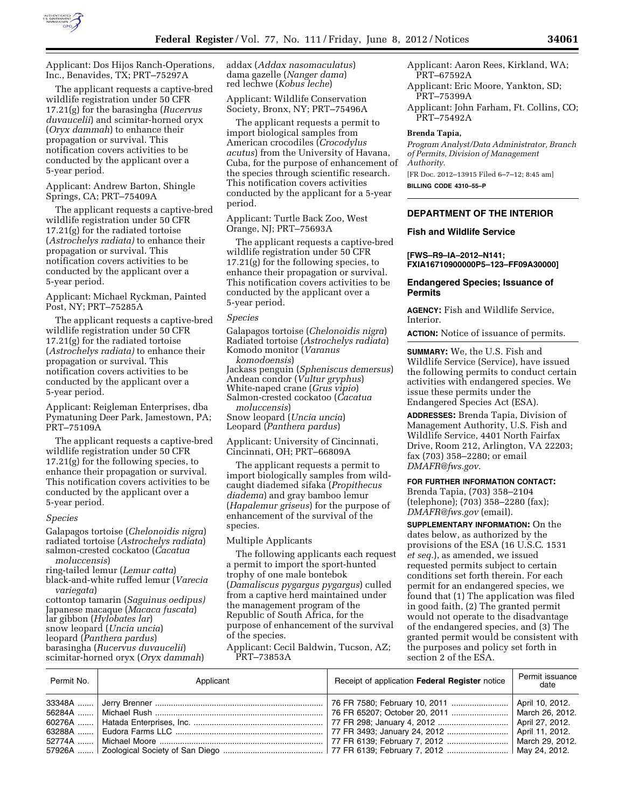

Applicant: Dos Hijos Ranch-Operations, Inc., Benavides, TX; PRT–75297A

The applicant requests a captive-bred wildlife registration under 50 CFR 17.21(g) for the barasingha (*Rucervus duvaucelii*) and scimitar-horned oryx (*Oryx dammah*) to enhance their propagation or survival. This notification covers activities to be conducted by the applicant over a 5-year period.

Applicant: Andrew Barton, Shingle Springs, CA; PRT–75409A

The applicant requests a captive-bred wildlife registration under 50 CFR 17.21(g) for the radiated tortoise (*Astrochelys radiata)* to enhance their propagation or survival. This notification covers activities to be conducted by the applicant over a 5-year period.

Applicant: Michael Ryckman, Painted Post, NY; PRT–75285A

The applicant requests a captive-bred wildlife registration under 50 CFR 17.21(g) for the radiated tortoise (*Astrochelys radiata)* to enhance their propagation or survival. This notification covers activities to be conducted by the applicant over a 5-year period.

Applicant: Reigleman Enterprises, dba Pymatuning Deer Park, Jamestown, PA; PRT–75109A

The applicant requests a captive-bred wildlife registration under 50 CFR 17.21(g) for the following species, to enhance their propagation or survival. This notification covers activities to be conducted by the applicant over a 5-year period.

#### *Species*

Galapagos tortoise (*Chelonoidis nigra*) radiated tortoise (*Astrochelys radiata*) salmon-crested cockatoo (*Cacatua moluccensis*)

ring-tailed lemur (*Lemur catta*) black-and-white ruffed lemur (*Varecia variegata*)

cottontop tamarin (*Saguinus oedipus)*  Japanese macaque (*Macaca fuscata*) lar gibbon (*Hylobates lar*) snow leopard (*Uncia uncia*) leopard (*Panthera pardus*) barasingha (*Rucervus duvaucelii*) scimitar-horned oryx (*Oryx dammah*)

addax (*Addax nasomaculatus*) dama gazelle (*Nanger dama*) red lechwe (*Kobus leche*)

Applicant: Wildlife Conservation Society, Bronx, NY; PRT–75496A

The applicant requests a permit to import biological samples from American crocodiles (*Crocodylus acutus*) from the University of Havana, Cuba, for the purpose of enhancement of the species through scientific research. This notification covers activities conducted by the applicant for a 5-year period.

Applicant: Turtle Back Zoo, West Orange, NJ; PRT–75693A

The applicant requests a captive-bred wildlife registration under 50 CFR 17.21(g) for the following species, to enhance their propagation or survival. This notification covers activities to be conducted by the applicant over a 5-year period.

## *Species*

Galapagos tortoise (*Chelonoidis nigra*) Radiated tortoise (*Astrochelys radiata*) Komodo monitor (*Varanus komodoensis*) Jackass penguin (*Spheniscus demersus*) Andean condor (*Vultur gryphus*) White-naped crane (*Grus vipio*) Salmon-crested cockatoo (*Cacatua moluccensis*) Snow leopard (*Uncia uncia*) Leopard (*Panthera pardus*)

Applicant: University of Cincinnati, Cincinnati, OH; PRT–66809A

The applicant requests a permit to import biologically samples from wildcaught diademed sifaka (*Propithecus diadema*) and gray bamboo lemur (*Hapalemur griseus*) for the purpose of enhancement of the survival of the species.

#### Multiple Applicants

The following applicants each request a permit to import the sport-hunted trophy of one male bontebok (*Damaliscus pygargus pygargus*) culled from a captive herd maintained under the management program of the Republic of South Africa, for the purpose of enhancement of the survival of the species.

Applicant: Cecil Baldwin, Tucson, AZ; PRT–73853A

Applicant: Aaron Rees, Kirkland, WA; PRT–67592A

Applicant: Eric Moore, Yankton, SD; PRT–75399A

Applicant: John Farham, Ft. Collins, CO; PRT–75492A

### **Brenda Tapia,**

*Program Analyst/Data Administrator, Branch of Permits, Division of Management Authority.*  [FR Doc. 2012–13915 Filed 6–7–12; 8:45 am] **BILLING CODE 4310–55–P** 

## **DEPARTMENT OF THE INTERIOR**

#### **Fish and Wildlife Service**

**[FWS–R9–IA–2012–N141; FXIA16710900000P5–123–FF09A30000]** 

### **Endangered Species; Issuance of Permits**

**AGENCY:** Fish and Wildlife Service, Interior.

**ACTION:** Notice of issuance of permits.

**SUMMARY:** We, the U.S. Fish and Wildlife Service (Service), have issued the following permits to conduct certain activities with endangered species. We issue these permits under the Endangered Species Act (ESA).

**ADDRESSES:** Brenda Tapia, Division of Management Authority, U.S. Fish and Wildlife Service, 4401 North Fairfax Drive, Room 212, Arlington, VA 22203; fax (703) 358–2280; or email *[DMAFR@fws.gov](mailto:DMAFR@fws.gov)*.

#### **FOR FURTHER INFORMATION CONTACT:**

Brenda Tapia, (703) 358–2104 (telephone); (703) 358–2280 (fax); *[DMAFR@fws.gov](mailto:DMAFR@fws.gov)* (email).

**SUPPLEMENTARY INFORMATION:** On the dates below, as authorized by the provisions of the ESA (16 U.S.C. 1531 *et seq.*), as amended, we issued requested permits subject to certain conditions set forth therein. For each permit for an endangered species, we found that (1) The application was filed in good faith, (2) The granted permit would not operate to the disadvantage of the endangered species, and (3) The granted permit would be consistent with the purposes and policy set forth in section 2 of the ESA.

| Permit No. | Applicant | Receipt of application Federal Register notice | Permit issuance<br>date |
|------------|-----------|------------------------------------------------|-------------------------|
|            |           |                                                |                         |